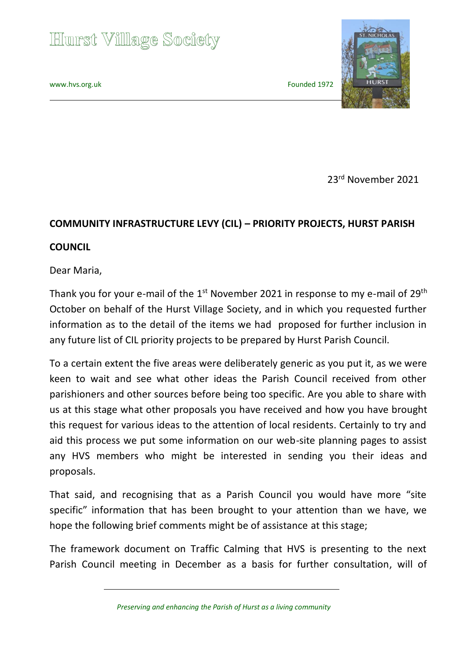## **Hurst Village Society**

[www.hvs.org.uk](http://www.hvs.org.uk/) extended 1972



23rd November 2021

## **COMMUNITY INFRASTRUCTURE LEVY (CIL) – PRIORITY PROJECTS, HURST PARISH**

## **COUNCIL**

Dear Maria,

Thank you for your e-mail of the 1<sup>st</sup> November 2021 in response to my e-mail of 29<sup>th</sup> October on behalf of the Hurst Village Society, and in which you requested further information as to the detail of the items we had proposed for further inclusion in any future list of CIL priority projects to be prepared by Hurst Parish Council.

To a certain extent the five areas were deliberately generic as you put it, as we were keen to wait and see what other ideas the Parish Council received from other parishioners and other sources before being too specific. Are you able to share with us at this stage what other proposals you have received and how you have brought this request for various ideas to the attention of local residents. Certainly to try and aid this process we put some information on our web-site planning pages to assist any HVS members who might be interested in sending you their ideas and proposals.

That said, and recognising that as a Parish Council you would have more "site specific" information that has been brought to your attention than we have, we hope the following brief comments might be of assistance at this stage;

The framework document on Traffic Calming that HVS is presenting to the next Parish Council meeting in December as a basis for further consultation, will of

*Preserving and enhancing the Parish of Hurst as a living community*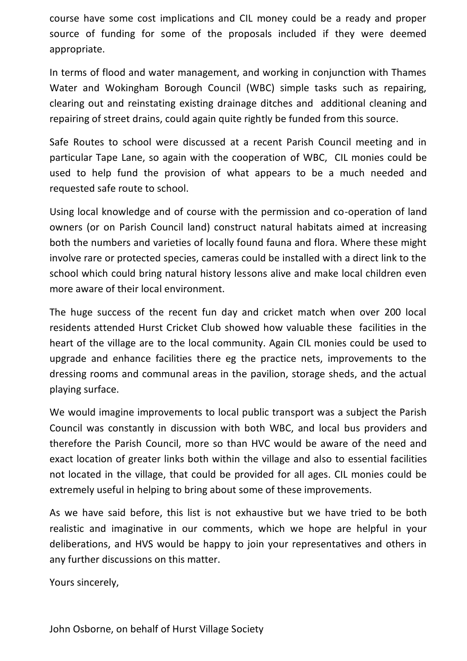course have some cost implications and CIL money could be a ready and proper source of funding for some of the proposals included if they were deemed appropriate.

In terms of flood and water management, and working in conjunction with Thames Water and Wokingham Borough Council (WBC) simple tasks such as repairing, clearing out and reinstating existing drainage ditches and additional cleaning and repairing of street drains, could again quite rightly be funded from this source.

Safe Routes to school were discussed at a recent Parish Council meeting and in particular Tape Lane, so again with the cooperation of WBC, CIL monies could be used to help fund the provision of what appears to be a much needed and requested safe route to school.

Using local knowledge and of course with the permission and co-operation of land owners (or on Parish Council land) construct natural habitats aimed at increasing both the numbers and varieties of locally found fauna and flora. Where these might involve rare or protected species, cameras could be installed with a direct link to the school which could bring natural history lessons alive and make local children even more aware of their local environment.

The huge success of the recent fun day and cricket match when over 200 local residents attended Hurst Cricket Club showed how valuable these facilities in the heart of the village are to the local community. Again CIL monies could be used to upgrade and enhance facilities there eg the practice nets, improvements to the dressing rooms and communal areas in the pavilion, storage sheds, and the actual playing surface.

We would imagine improvements to local public transport was a subject the Parish Council was constantly in discussion with both WBC, and local bus providers and therefore the Parish Council, more so than HVC would be aware of the need and exact location of greater links both within the village and also to essential facilities not located in the village, that could be provided for all ages. CIL monies could be extremely useful in helping to bring about some of these improvements.

As we have said before, this list is not exhaustive but we have tried to be both realistic and imaginative in our comments, which we hope are helpful in your deliberations, and HVS would be happy to join your representatives and others in any further discussions on this matter.

Yours sincerely,

John Osborne, on behalf of Hurst Village Society